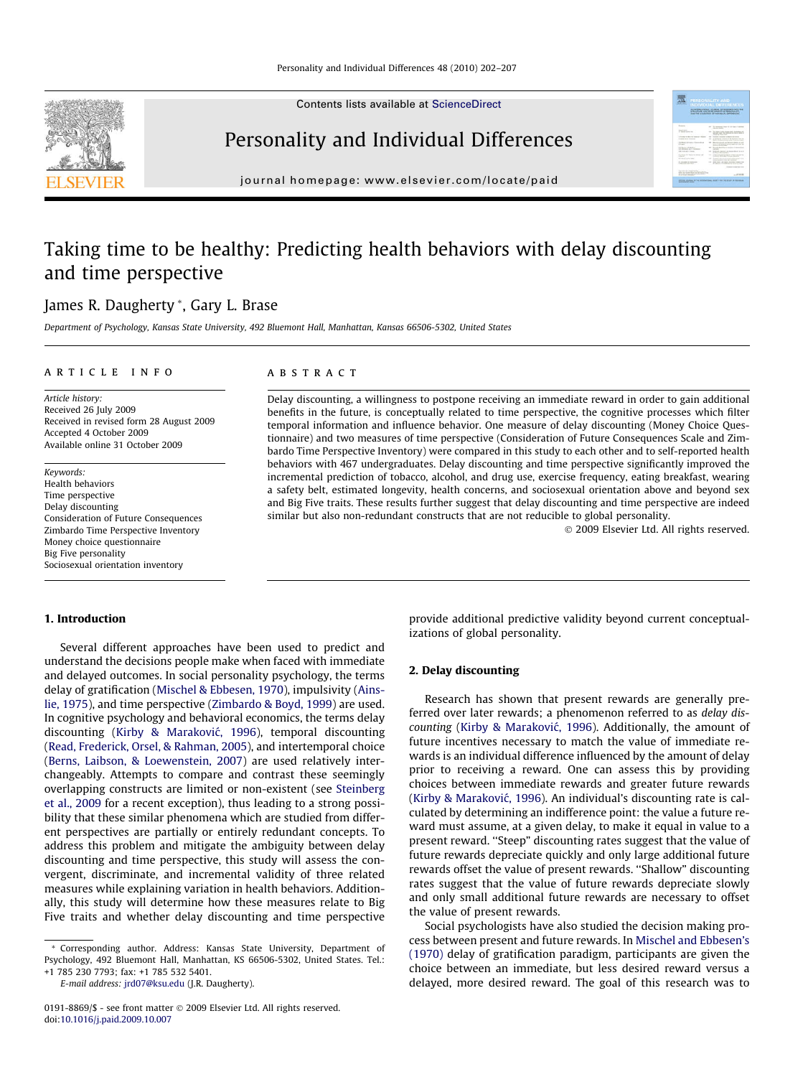Contents lists available at [ScienceDirect](http://www.sciencedirect.com/science/journal/01918869)



journal homepage: [www.elsevier.com/locate/paid](http://www.elsevier.com/locate/paid)

## Taking time to be healthy: Predicting health behaviors with delay discounting and time perspective

### James R. Daugherty \*, Gary L. Brase

Department of Psychology, Kansas State University, 492 Bluemont Hall, Manhattan, Kansas 66506-5302, United States

#### article info

Article history: Received 26 July 2009 Received in revised form 28 August 2009 Accepted 4 October 2009 Available online 31 October 2009

Keywords: Health behaviors Time perspective Delay discounting Consideration of Future Consequences Zimbardo Time Perspective Inventory Money choice questionnaire Big Five personality Sociosexual orientation inventory

#### ABSTRACT

Delay discounting, a willingness to postpone receiving an immediate reward in order to gain additional benefits in the future, is conceptually related to time perspective, the cognitive processes which filter temporal information and influence behavior. One measure of delay discounting (Money Choice Questionnaire) and two measures of time perspective (Consideration of Future Consequences Scale and Zimbardo Time Perspective Inventory) were compared in this study to each other and to self-reported health behaviors with 467 undergraduates. Delay discounting and time perspective significantly improved the incremental prediction of tobacco, alcohol, and drug use, exercise frequency, eating breakfast, wearing a safety belt, estimated longevity, health concerns, and sociosexual orientation above and beyond sex and Big Five traits. These results further suggest that delay discounting and time perspective are indeed similar but also non-redundant constructs that are not reducible to global personality.

- 2009 Elsevier Ltd. All rights reserved.

需

#### 1. Introduction

Several different approaches have been used to predict and understand the decisions people make when faced with immediate and delayed outcomes. In social personality psychology, the terms delay of gratification ([Mischel & Ebbesen, 1970](#page--1-0)), impulsivity [\(Ains](#page--1-0)[lie, 1975](#page--1-0)), and time perspective [\(Zimbardo & Boyd, 1999\)](#page--1-0) are used. In cognitive psychology and behavioral economics, the terms delay discounting (Kirby & Maraković, 1996), temporal discounting ([Read, Frederick, Orsel, & Rahman, 2005](#page--1-0)), and intertemporal choice ([Berns, Laibson, & Loewenstein, 2007\)](#page--1-0) are used relatively interchangeably. Attempts to compare and contrast these seemingly overlapping constructs are limited or non-existent (see [Steinberg](#page--1-0) [et al., 2009](#page--1-0) for a recent exception), thus leading to a strong possibility that these similar phenomena which are studied from different perspectives are partially or entirely redundant concepts. To address this problem and mitigate the ambiguity between delay discounting and time perspective, this study will assess the convergent, discriminate, and incremental validity of three related measures while explaining variation in health behaviors. Additionally, this study will determine how these measures relate to Big Five traits and whether delay discounting and time perspective

\* Corresponding author. Address: Kansas State University, Department of Psychology, 492 Bluemont Hall, Manhattan, KS 66506-5302, United States. Tel.: +1 785 230 7793; fax: +1 785 532 5401.

E-mail address: [jrd07@ksu.edu](mailto:jrd07@ksu.edu) (J.R. Daugherty).

provide additional predictive validity beyond current conceptualizations of global personality.

#### 2. Delay discounting

Research has shown that present rewards are generally preferred over later rewards; a phenomenon referred to as delay discounting (Kirby & Maraković, 1996). Additionally, the amount of future incentives necessary to match the value of immediate rewards is an individual difference influenced by the amount of delay prior to receiving a reward. One can assess this by providing choices between immediate rewards and greater future rewards (Kirby & Maraković, 1996). An individual's discounting rate is calculated by determining an indifference point: the value a future reward must assume, at a given delay, to make it equal in value to a present reward. ''Steep" discounting rates suggest that the value of future rewards depreciate quickly and only large additional future rewards offset the value of present rewards. ''Shallow" discounting rates suggest that the value of future rewards depreciate slowly and only small additional future rewards are necessary to offset the value of present rewards.

Social psychologists have also studied the decision making process between present and future rewards. In [Mischel and Ebbesen's](#page--1-0) [\(1970\)](#page--1-0) delay of gratification paradigm, participants are given the choice between an immediate, but less desired reward versus a delayed, more desired reward. The goal of this research was to



<sup>0191-8869/\$ -</sup> see front matter © 2009 Elsevier Ltd. All rights reserved. doi:[10.1016/j.paid.2009.10.007](http://dx.doi.org/10.1016/j.paid.2009.10.007)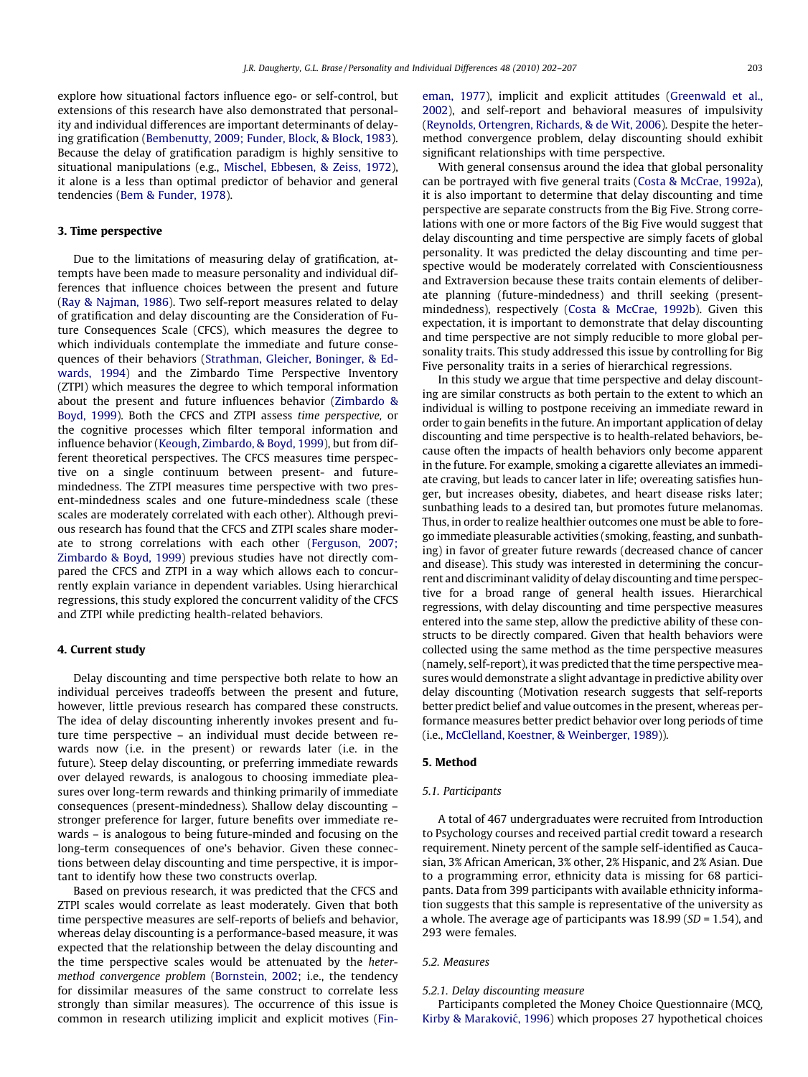explore how situational factors influence ego- or self-control, but extensions of this research have also demonstrated that personality and individual differences are important determinants of delaying gratification ([Bembenutty, 2009; Funder, Block, & Block, 1983\)](#page--1-0). Because the delay of gratification paradigm is highly sensitive to situational manipulations (e.g., [Mischel, Ebbesen, & Zeiss, 1972\)](#page--1-0), it alone is a less than optimal predictor of behavior and general tendencies ([Bem & Funder, 1978\)](#page--1-0).

#### 3. Time perspective

Due to the limitations of measuring delay of gratification, attempts have been made to measure personality and individual differences that influence choices between the present and future ([Ray & Najman, 1986](#page--1-0)). Two self-report measures related to delay of gratification and delay discounting are the Consideration of Future Consequences Scale (CFCS), which measures the degree to which individuals contemplate the immediate and future consequences of their behaviors [\(Strathman, Gleicher, Boninger, & Ed](#page--1-0)[wards, 1994\)](#page--1-0) and the Zimbardo Time Perspective Inventory (ZTPI) which measures the degree to which temporal information about the present and future influences behavior [\(Zimbardo &](#page--1-0) [Boyd, 1999](#page--1-0)). Both the CFCS and ZTPI assess time perspective, or the cognitive processes which filter temporal information and influence behavior [\(Keough, Zimbardo, & Boyd, 1999\)](#page--1-0), but from different theoretical perspectives. The CFCS measures time perspective on a single continuum between present- and futuremindedness. The ZTPI measures time perspective with two present-mindedness scales and one future-mindedness scale (these scales are moderately correlated with each other). Although previous research has found that the CFCS and ZTPI scales share moderate to strong correlations with each other ([Ferguson, 2007;](#page--1-0) [Zimbardo & Boyd, 1999\)](#page--1-0) previous studies have not directly compared the CFCS and ZTPI in a way which allows each to concurrently explain variance in dependent variables. Using hierarchical regressions, this study explored the concurrent validity of the CFCS and ZTPI while predicting health-related behaviors.

#### 4. Current study

Delay discounting and time perspective both relate to how an individual perceives tradeoffs between the present and future, however, little previous research has compared these constructs. The idea of delay discounting inherently invokes present and future time perspective – an individual must decide between rewards now (i.e. in the present) or rewards later (i.e. in the future). Steep delay discounting, or preferring immediate rewards over delayed rewards, is analogous to choosing immediate pleasures over long-term rewards and thinking primarily of immediate consequences (present-mindedness). Shallow delay discounting – stronger preference for larger, future benefits over immediate rewards – is analogous to being future-minded and focusing on the long-term consequences of one's behavior. Given these connections between delay discounting and time perspective, it is important to identify how these two constructs overlap.

Based on previous research, it was predicted that the CFCS and ZTPI scales would correlate as least moderately. Given that both time perspective measures are self-reports of beliefs and behavior, whereas delay discounting is a performance-based measure, it was expected that the relationship between the delay discounting and the time perspective scales would be attenuated by the hetermethod convergence problem ([Bornstein, 2002;](#page--1-0) i.e., the tendency for dissimilar measures of the same construct to correlate less strongly than similar measures). The occurrence of this issue is common in research utilizing implicit and explicit motives ([Fin-](#page--1-0) [eman, 1977](#page--1-0)), implicit and explicit attitudes [\(Greenwald et al.,](#page--1-0) [2002](#page--1-0)), and self-report and behavioral measures of impulsivity ([Reynolds, Ortengren, Richards, & de Wit, 2006\)](#page--1-0). Despite the hetermethod convergence problem, delay discounting should exhibit significant relationships with time perspective.

With general consensus around the idea that global personality can be portrayed with five general traits [\(Costa & McCrae, 1992a\)](#page--1-0), it is also important to determine that delay discounting and time perspective are separate constructs from the Big Five. Strong correlations with one or more factors of the Big Five would suggest that delay discounting and time perspective are simply facets of global personality. It was predicted the delay discounting and time perspective would be moderately correlated with Conscientiousness and Extraversion because these traits contain elements of deliberate planning (future-mindedness) and thrill seeking (presentmindedness), respectively [\(Costa & McCrae, 1992b\)](#page--1-0). Given this expectation, it is important to demonstrate that delay discounting and time perspective are not simply reducible to more global personality traits. This study addressed this issue by controlling for Big Five personality traits in a series of hierarchical regressions.

In this study we argue that time perspective and delay discounting are similar constructs as both pertain to the extent to which an individual is willing to postpone receiving an immediate reward in order to gain benefits in the future. An important application of delay discounting and time perspective is to health-related behaviors, because often the impacts of health behaviors only become apparent in the future. For example, smoking a cigarette alleviates an immediate craving, but leads to cancer later in life; overeating satisfies hunger, but increases obesity, diabetes, and heart disease risks later; sunbathing leads to a desired tan, but promotes future melanomas. Thus, in order to realize healthier outcomes one must be able to forego immediate pleasurable activities (smoking, feasting, and sunbathing) in favor of greater future rewards (decreased chance of cancer and disease). This study was interested in determining the concurrent and discriminant validity of delay discounting and time perspective for a broad range of general health issues. Hierarchical regressions, with delay discounting and time perspective measures entered into the same step, allow the predictive ability of these constructs to be directly compared. Given that health behaviors were collected using the same method as the time perspective measures (namely, self-report), it was predicted that the time perspective measures would demonstrate a slight advantage in predictive ability over delay discounting (Motivation research suggests that self-reports better predict belief and value outcomes in the present, whereas performance measures better predict behavior over long periods of time (i.e., [McClelland, Koestner, & Weinberger, 1989](#page--1-0))).

#### 5. Method

#### 5.1. Participants

A total of 467 undergraduates were recruited from Introduction to Psychology courses and received partial credit toward a research requirement. Ninety percent of the sample self-identified as Caucasian, 3% African American, 3% other, 2% Hispanic, and 2% Asian. Due to a programming error, ethnicity data is missing for 68 participants. Data from 399 participants with available ethnicity information suggests that this sample is representative of the university as a whole. The average age of participants was 18.99 (SD = 1.54), and 293 were females.

#### 5.2. Measures

#### 5.2.1. Delay discounting measure

Participants completed the Money Choice Questionnaire (MCQ, Kirby & Maraković, 1996) which proposes 27 hypothetical choices